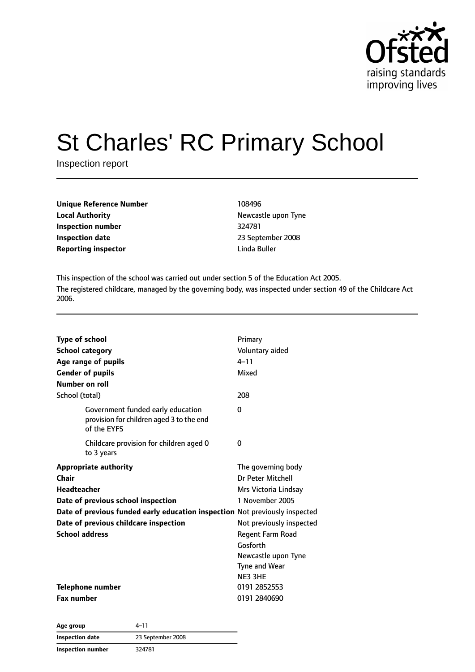

# St Charles' RC Primary School

Inspection report

| Unique Reference Number    | 108496       |
|----------------------------|--------------|
| <b>Local Authority</b>     | Newcastle up |
| Inspection number          | 324781       |
| <b>Inspection date</b>     | 23 Septembe  |
| <b>Reporting inspector</b> | Linda Buller |

**Newcastle upon Tyne Inspection number** 324781 **Inspection date** 23 September 2008

This inspection of the school was carried out under section 5 of the Education Act 2005. The registered childcare, managed by the governing body, was inspected under section 49 of the Childcare Act 2006.

| <b>Type of school</b>                                                                        | Primary                  |  |
|----------------------------------------------------------------------------------------------|--------------------------|--|
| <b>School category</b>                                                                       | Voluntary aided          |  |
| Age range of pupils                                                                          | $4 - 11$                 |  |
| <b>Gender of pupils</b>                                                                      | Mixed                    |  |
| Number on roll                                                                               |                          |  |
| School (total)                                                                               | 208                      |  |
| Government funded early education<br>provision for children aged 3 to the end<br>of the FYFS | 0                        |  |
| Childcare provision for children aged 0<br>to 3 years                                        | 0                        |  |
| <b>Appropriate authority</b>                                                                 | The governing body       |  |
| Chair                                                                                        | Dr Peter Mitchell        |  |
| <b>Headteacher</b>                                                                           | Mrs Victoria Lindsay     |  |
| Date of previous school inspection                                                           | 1 November 2005          |  |
| Date of previous funded early education inspection Not previously inspected                  |                          |  |
| Date of previous childcare inspection                                                        | Not previously inspected |  |
| <b>School address</b>                                                                        | Regent Farm Road         |  |
|                                                                                              | Gosforth                 |  |
|                                                                                              | Newcastle upon Tyne      |  |
|                                                                                              | Tyne and Wear            |  |
|                                                                                              | NE3 3HE                  |  |
| Telephone number                                                                             | 0191 2852553             |  |
| <b>Fax number</b>                                                                            | 0191 2840690             |  |

| Age group                | 4–11              |
|--------------------------|-------------------|
| Inspection date          | 23 September 2008 |
| <b>Inspection number</b> | 324781            |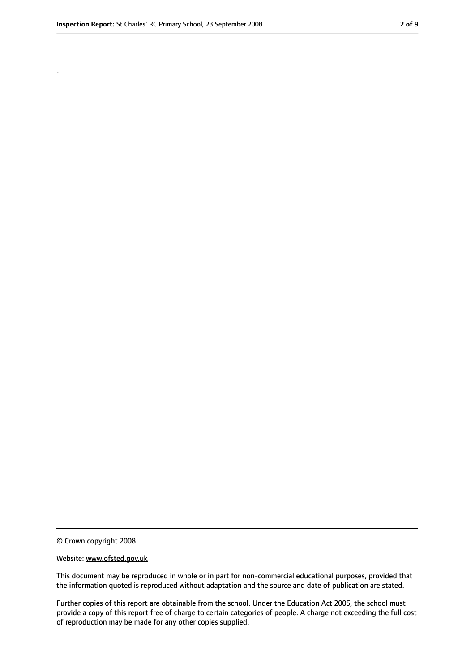.

<sup>©</sup> Crown copyright 2008

Website: www.ofsted.gov.uk

This document may be reproduced in whole or in part for non-commercial educational purposes, provided that the information quoted is reproduced without adaptation and the source and date of publication are stated.

Further copies of this report are obtainable from the school. Under the Education Act 2005, the school must provide a copy of this report free of charge to certain categories of people. A charge not exceeding the full cost of reproduction may be made for any other copies supplied.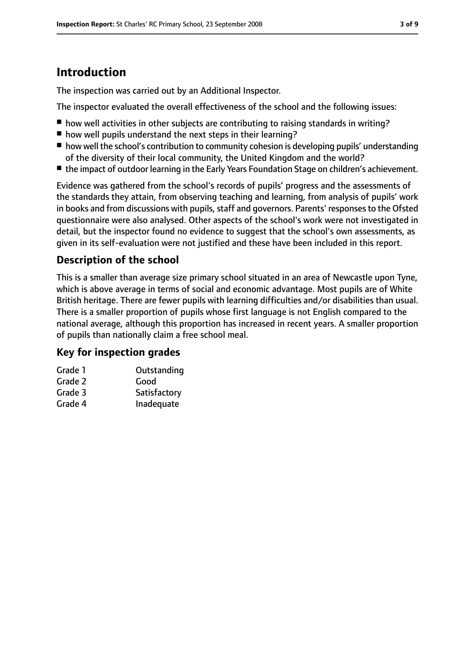# **Introduction**

The inspection was carried out by an Additional Inspector.

The inspector evaluated the overall effectiveness of the school and the following issues:

- how well activities in other subjects are contributing to raising standards in writing?
- how well pupils understand the next steps in their learning?
- how well the school's contribution to community cohesion is developing pupils' understanding of the diversity of their local community, the United Kingdom and the world?
- the impact of outdoor learning in the Early Years Foundation Stage on children's achievement.

Evidence was gathered from the school's records of pupils' progress and the assessments of the standards they attain, from observing teaching and learning, from analysis of pupils' work in books and from discussions with pupils, staff and governors. Parents' responses to the Ofsted questionnaire were also analysed. Other aspects of the school's work were not investigated in detail, but the inspector found no evidence to suggest that the school's own assessments, as given in its self-evaluation were not justified and these have been included in this report.

### **Description of the school**

This is a smaller than average size primary school situated in an area of Newcastle upon Tyne, which is above average in terms of social and economic advantage. Most pupils are of White British heritage. There are fewer pupils with learning difficulties and/or disabilities than usual. There is a smaller proportion of pupils whose first language is not English compared to the national average, although this proportion has increased in recent years. A smaller proportion of pupils than nationally claim a free school meal.

#### **Key for inspection grades**

| Outstanding  |
|--------------|
| Good         |
| Satisfactory |
| Inadequate   |
|              |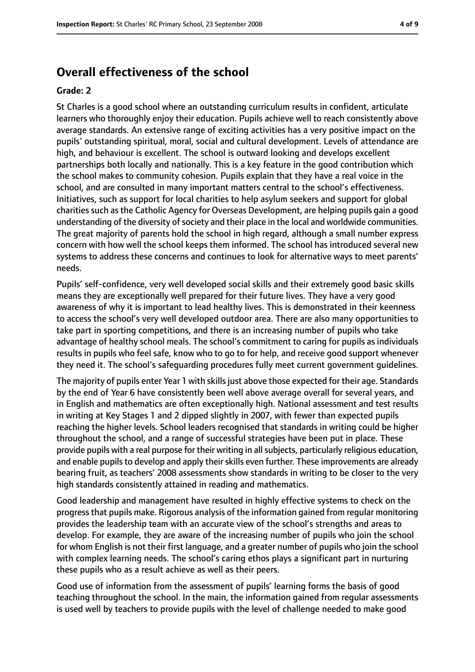## **Overall effectiveness of the school**

#### **Grade: 2**

St Charles is a good school where an outstanding curriculum results in confident, articulate learners who thoroughly enjoy their education. Pupils achieve well to reach consistently above average standards. An extensive range of exciting activities has a very positive impact on the pupils' outstanding spiritual, moral, social and cultural development. Levels of attendance are high, and behaviour is excellent. The school is outward looking and develops excellent partnerships both locally and nationally. This is a key feature in the good contribution which the school makes to community cohesion. Pupils explain that they have a real voice in the school, and are consulted in many important matters central to the school's effectiveness. Initiatives, such as support for local charities to help asylum seekers and support for global charities such as the Catholic Agency for Overseas Development, are helping pupils gain a good understanding of the diversity of society and their place in the local and worldwide communities. The great majority of parents hold the school in high regard, although a small number express concern with how well the school keeps them informed. The school has introduced several new systems to address these concerns and continues to look for alternative ways to meet parents' needs.

Pupils' self-confidence, very well developed social skills and their extremely good basic skills means they are exceptionally well prepared for their future lives. They have a very good awareness of why it is important to lead healthy lives. This is demonstrated in their keenness to access the school's very well developed outdoor area. There are also many opportunities to take part in sporting competitions, and there is an increasing number of pupils who take advantage of healthy school meals. The school's commitment to caring for pupils as individuals results in pupils who feel safe, know who to go to for help, and receive good support whenever they need it. The school's safeguarding procedures fully meet current government guidelines.

The majority of pupils enter Year 1 with skills just above those expected for their age. Standards by the end of Year 6 have consistently been well above average overall for several years, and in English and mathematics are often exceptionally high. National assessment and test results in writing at Key Stages 1 and 2 dipped slightly in 2007, with fewer than expected pupils reaching the higher levels. School leaders recognised that standards in writing could be higher throughout the school, and a range of successful strategies have been put in place. These provide pupils with a real purpose for their writing in allsubjects, particularly religious education, and enable pupils to develop and apply their skills even further. These improvements are already bearing fruit, as teachers' 2008 assessments show standards in writing to be closer to the very high standards consistently attained in reading and mathematics.

Good leadership and management have resulted in highly effective systems to check on the progressthat pupils make. Rigorous analysis of the information gained from regular monitoring provides the leadership team with an accurate view of the school's strengths and areas to develop. For example, they are aware of the increasing number of pupils who join the school for whom English is not their first language, and a greater number of pupils who join the school with complex learning needs. The school's caring ethos plays a significant part in nurturing these pupils who as a result achieve as well as their peers.

Good use of information from the assessment of pupils' learning forms the basis of good teaching throughout the school. In the main, the information gained from regular assessments is used well by teachers to provide pupils with the level of challenge needed to make good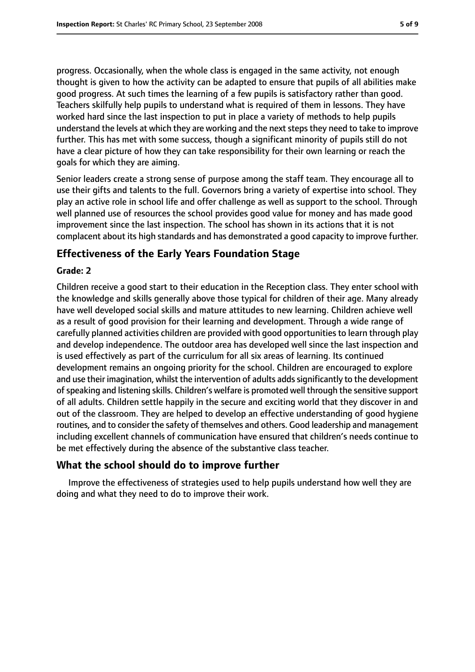progress. Occasionally, when the whole class is engaged in the same activity, not enough thought is given to how the activity can be adapted to ensure that pupils of all abilities make good progress. At such times the learning of a few pupils is satisfactory rather than good. Teachers skilfully help pupils to understand what is required of them in lessons. They have worked hard since the last inspection to put in place a variety of methods to help pupils understand the levels at which they are working and the next steps they need to take to improve further. This has met with some success, though a significant minority of pupils still do not have a clear picture of how they can take responsibility for their own learning or reach the goals for which they are aiming.

Senior leaders create a strong sense of purpose among the staff team. They encourage all to use their gifts and talents to the full. Governors bring a variety of expertise into school. They play an active role in school life and offer challenge as well as support to the school. Through well planned use of resources the school provides good value for money and has made good improvement since the last inspection. The school has shown in its actions that it is not complacent about its high standards and has demonstrated a good capacity to improve further.

#### **Effectiveness of the Early Years Foundation Stage**

#### **Grade: 2**

Children receive a good start to their education in the Reception class. They enter school with the knowledge and skills generally above those typical for children of their age. Many already have well developed social skills and mature attitudes to new learning. Children achieve well as a result of good provision for their learning and development. Through a wide range of carefully planned activities children are provided with good opportunities to learn through play and develop independence. The outdoor area has developed well since the last inspection and is used effectively as part of the curriculum for all six areas of learning. Its continued development remains an ongoing priority for the school. Children are encouraged to explore and use their imagination, whilst the intervention of adults adds significantly to the development ofspeaking and listening skills. Children's welfare is promoted well through the sensitive support of all adults. Children settle happily in the secure and exciting world that they discover in and out of the classroom. They are helped to develop an effective understanding of good hygiene routines, and to consider the safety of themselves and others. Good leadership and management including excellent channels of communication have ensured that children's needs continue to be met effectively during the absence of the substantive class teacher.

#### **What the school should do to improve further**

Improve the effectiveness of strategies used to help pupils understand how well they are doing and what they need to do to improve their work.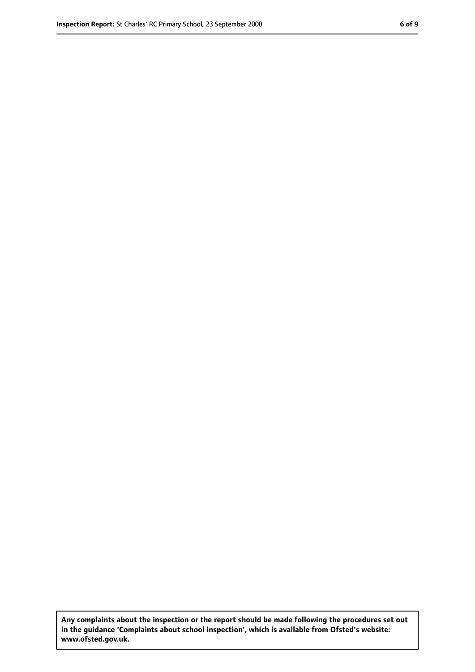**Any complaints about the inspection or the report should be made following the procedures set out in the guidance 'Complaints about school inspection', which is available from Ofsted's website: www.ofsted.gov.uk.**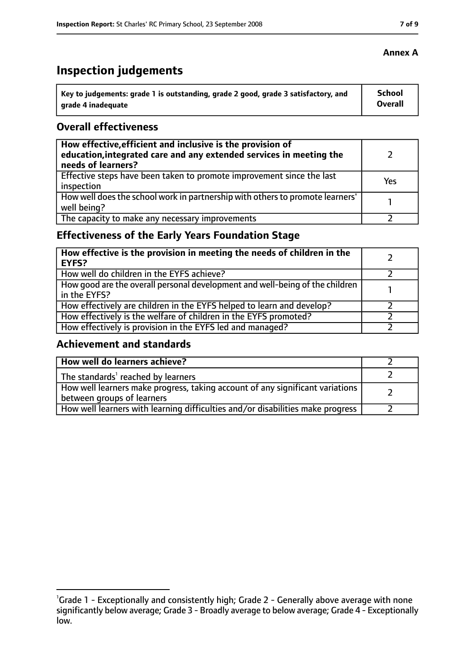# **Inspection judgements**

| Key to judgements: grade 1 is outstanding, grade 2 good, grade 3 satisfactory, and | School  |
|------------------------------------------------------------------------------------|---------|
| arade 4 inadequate                                                                 | Overall |

#### **Overall effectiveness**

| How effective, efficient and inclusive is the provision of<br>education, integrated care and any extended services in meeting the<br>needs of learners? |     |
|---------------------------------------------------------------------------------------------------------------------------------------------------------|-----|
| Effective steps have been taken to promote improvement since the last<br>inspection                                                                     | Yes |
| How well does the school work in partnership with others to promote learners'<br>well being?                                                            |     |
| The capacity to make any necessary improvements                                                                                                         |     |

# **Effectiveness of the Early Years Foundation Stage**

| How effective is the provision in meeting the needs of children in the<br><b>EYFS?</b>       |  |
|----------------------------------------------------------------------------------------------|--|
| How well do children in the EYFS achieve?                                                    |  |
| How good are the overall personal development and well-being of the children<br>in the EYFS? |  |
| How effectively are children in the EYFS helped to learn and develop?                        |  |
| How effectively is the welfare of children in the EYFS promoted?                             |  |
| How effectively is provision in the EYFS led and managed?                                    |  |

#### **Achievement and standards**

| How well do learners achieve?                                                                               |  |
|-------------------------------------------------------------------------------------------------------------|--|
| The standards <sup>1</sup> reached by learners                                                              |  |
| How well learners make progress, taking account of any significant variations<br>between groups of learners |  |
| How well learners with learning difficulties and/or disabilities make progress                              |  |

#### **Annex A**

<sup>&</sup>lt;sup>1</sup>Grade 1 - Exceptionally and consistently high; Grade 2 - Generally above average with none significantly below average; Grade 3 - Broadly average to below average; Grade 4 - Exceptionally low.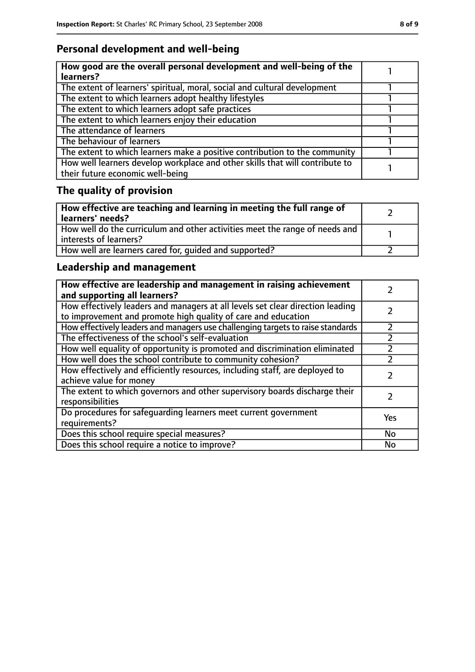# **Personal development and well-being**

| How good are the overall personal development and well-being of the<br>learners?                                 |  |
|------------------------------------------------------------------------------------------------------------------|--|
| The extent of learners' spiritual, moral, social and cultural development                                        |  |
| The extent to which learners adopt healthy lifestyles                                                            |  |
| The extent to which learners adopt safe practices                                                                |  |
| The extent to which learners enjoy their education                                                               |  |
| The attendance of learners                                                                                       |  |
| The behaviour of learners                                                                                        |  |
| The extent to which learners make a positive contribution to the community                                       |  |
| How well learners develop workplace and other skills that will contribute to<br>their future economic well-being |  |

# **The quality of provision**

| How effective are teaching and learning in meeting the full range of<br>learners' needs?              |  |
|-------------------------------------------------------------------------------------------------------|--|
| How well do the curriculum and other activities meet the range of needs and<br>interests of learners? |  |
| How well are learners cared for, quided and supported?                                                |  |

# **Leadership and management**

| How effective are leadership and management in raising achievement<br>and supporting all learners?                                              |     |
|-------------------------------------------------------------------------------------------------------------------------------------------------|-----|
| How effectively leaders and managers at all levels set clear direction leading<br>to improvement and promote high quality of care and education |     |
| How effectively leaders and managers use challenging targets to raise standards                                                                 |     |
| The effectiveness of the school's self-evaluation                                                                                               |     |
| How well equality of opportunity is promoted and discrimination eliminated                                                                      |     |
| How well does the school contribute to community cohesion?                                                                                      | フ   |
| How effectively and efficiently resources, including staff, are deployed to<br>achieve value for money                                          |     |
| The extent to which governors and other supervisory boards discharge their<br>responsibilities                                                  |     |
| Do procedures for safequarding learners meet current government<br>requirements?                                                                | Yes |
| Does this school require special measures?                                                                                                      | No  |
| Does this school require a notice to improve?                                                                                                   | No  |